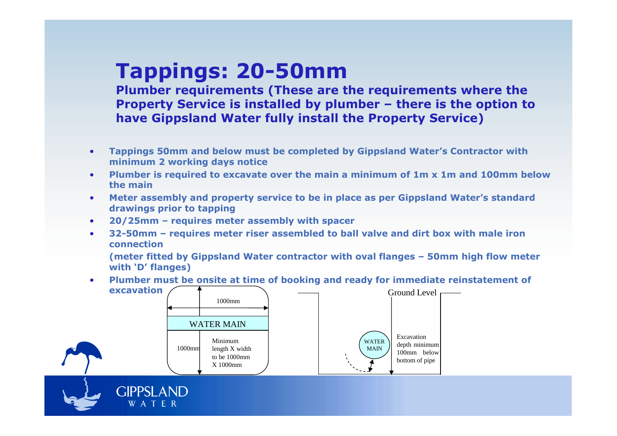# **Tappings: 20-50mm**

 **Property Service is installed by plumber – there is the option to Plumber requirements (These are the requirements where the have Gippsland Water fully install the Property Service)**

- • **Tappings 50mm and below must be completed by Gippsland Water's Contractor with minimum 2 working days notice**
- **Plumber is required to excavate over the main a minimum of 1m x 1m and 100mm below the main**
- **Meter assembly and property service to be in place as per Gippsland Water's standard drawings prior to tapping**
- **20/25mm – requires meter assembly with spacer** •
- • **32-50mm – requires meter riser assembled to ball valve and dirt box with male iron connection**

 **(meter fitted by Gippsland Water contractor with oval flanges – 50mm high flow meter with 'D' flanges)**

• **Plumber must be onsite at time of booking and ready for immediate reinstatement of excavation**Ground Level



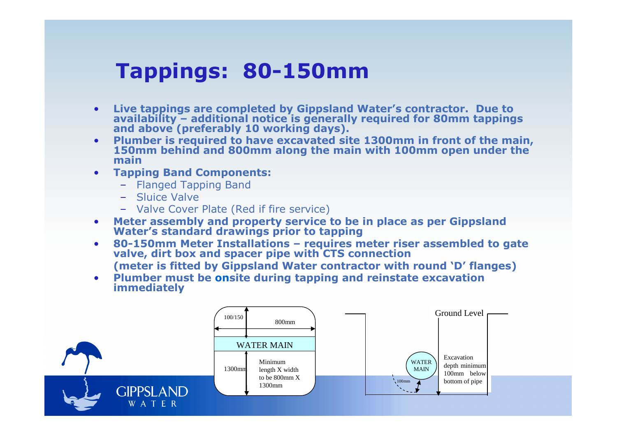## **Tappings: 80-150mm**

- •Live tappings are completed by Gippsland Water's contractor. Due to availability – additional notice is generally required for 80mm tappings and above (preferably 10 working days).
- Plumber is required to have excavated site 1300mm in front of the main, •**150mm behind and 800mm along the main with 100mm open under the main**
- **Tapping Band Components:** •
	- Flanged Tapping Band
	- Sluice Valve
	- Valve Cover Plate (Red if fire service)
- •**Meter assembly and property service to be in place as per Gippsland Water's standard drawings prior to tapping**
- **80-150mm Meter Installations requires meter riser assembled to gate valve, dirt box and spacer pipe with CTS connection** •
- **(meter is fitted by Gippsland Water contractor with round 'D' flanges)** • **Plumber must be onsite during tapping and reinstate excavation immediately**

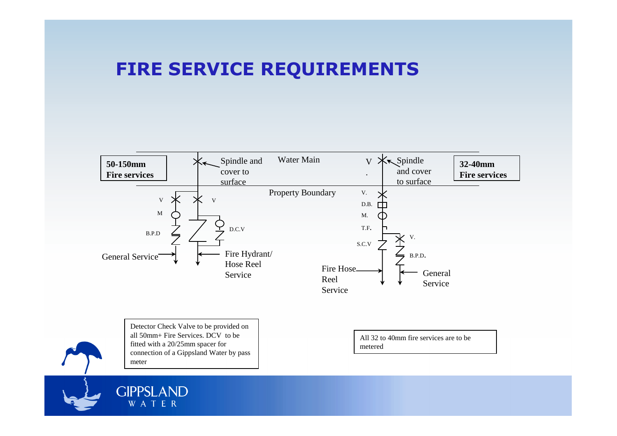#### **FIRE SERVICE REQUIREMENTS**

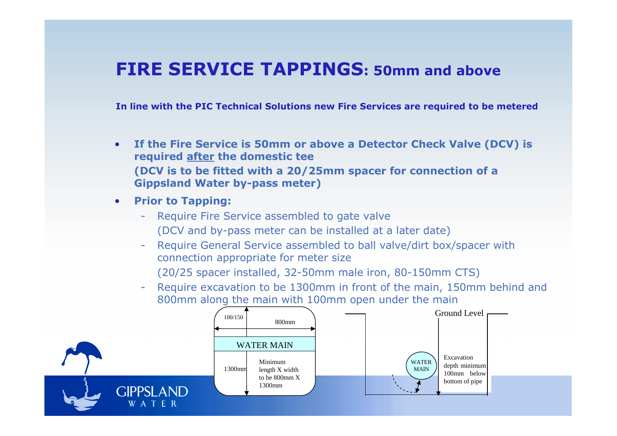#### **FIRE SERVICE TAPPINGS: 50mm and above**

**In line with the PIC Technical Solutions new Fire Services are required to be metered**

- • **If the Fire Service is 50mm or above a Detector Check Valve (DCV) is required after the domestic tee (DCV is to be fitted with a 20/25mm spacer for connection of a Gippsland Water by-pass meter)**
- **Prior to Tapping:**
	- Require Fire Service assembled to gate valve (DCV and by-pass meter can be installed at a later date)
	- Require General Service assembled to ball valve/dirt box/spacer with connection appropriate for meter size
		- (20/25 spacer installed, 32-50mm male iron, 80-150mm CTS)
	- Require excavation to be 1300mm in front of the main, 150mm behind and<br>800mm along the main with 100mm onen under the main 800mm along the main with 100mm open under the main

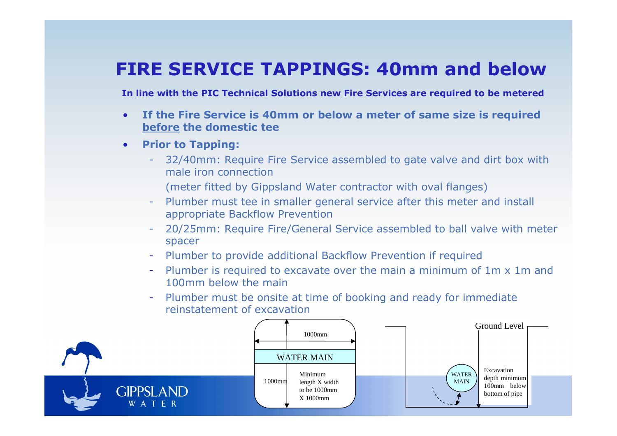#### **FIRE SERVICE TAPPINGS: 40mm and below**

**In line with the PIC Technical Solutions new Fire Services are required to be metered**

- • **If the Fire Service is 40mm or below a meter of same size is required before the domestic tee**
- • **Prior to Tapping:**
	- 32/40mm: Require Fire Service assembled to gate valve and dirt box with male iron connection
		- (meter fitted by Gippsland Water contractor with oval flanges)
	- Plumber must tee in smaller general service after this meter and install appropriate Backflow Prevention
	- 20/25mm: Require Fire/General Service assembled to ball valve with meter<br>spacer spacer
	- Plumber to provide additional Backflow Prevention if required
	- Plumber is required to excavate over the main a minimum of 1m x 1m and -100mm below the main
	- Plumber must be onsite at time of booking and ready for immediate reinstatement of excavation

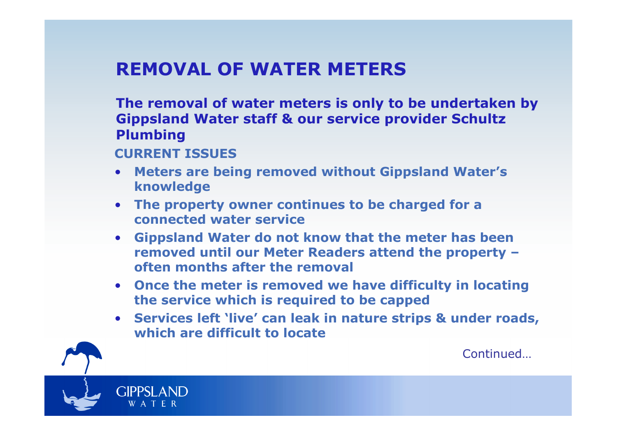### **REMOVAL OF WATER METERS**

**The removal of water meters is only to be undertaken by Gippsland Water staff & our service provider Schultz Plumbing**

**CURRENT ISSUES**

- **Meters are being removed without Gippsland Water's knowledge**
- **The property owner continues to be charged for a connected water service**
- **Gippsland Water do not know that the meter has been removed until our Meter Readers attend the property –often months after the removal**
- **Once the meter is removed we have difficulty in locating the service which is required to be capped**
- **Services left 'live' can leak in nature strips & under roads, which are difficult to locate**

**Continued**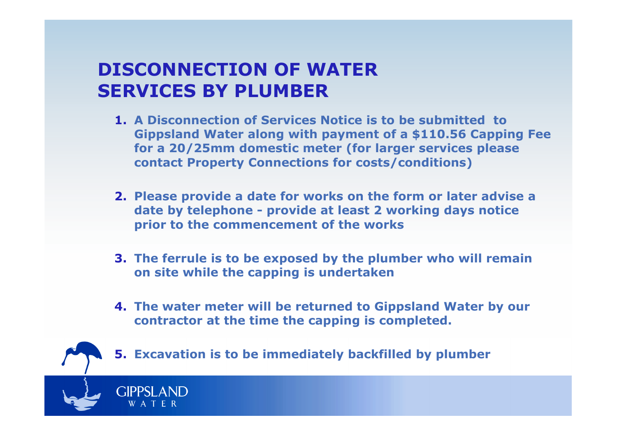#### **DISCONNECTION OF WATERSERVICES BY PLUMBER**

- **1. A Disconnection of Services Notice is to be submitted to Gippsland Water along with payment of a \$110.56 Capping Fee for a 20/25mm domestic meter (for larger services please contact Property Connections for costs/conditions)**
- **2. Please provide a date for works on the form or later advise a date by telephone - provide at least 2 working days notice prior to the commencement of the works**
- **3. The ferrule is to be exposed by the plumber who will remain on site while the capping is undertaken**
- **4. The water meter will be returned to Gippsland Water by our contractor at the time the capping is completed.**



**5. Excavation is to be immediately backfilled by plumber**

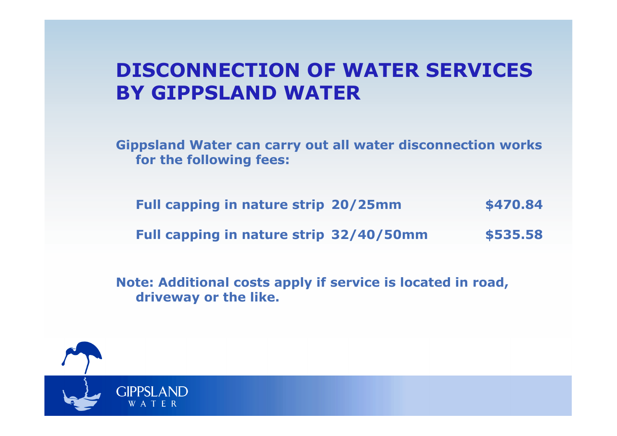## **DISCONNECTION OF WATER SERVICESBY GIPPSLAND WATER**

**Gippsland Water can carry out all water disconnection works for the following fees:**

**Full capping in nature strip 20/25mm \$470.84 Full capping in nature strip 32/40/50mm\$535.58**

**Note: Additional costs apply if service is located in road, driveway or the like.**

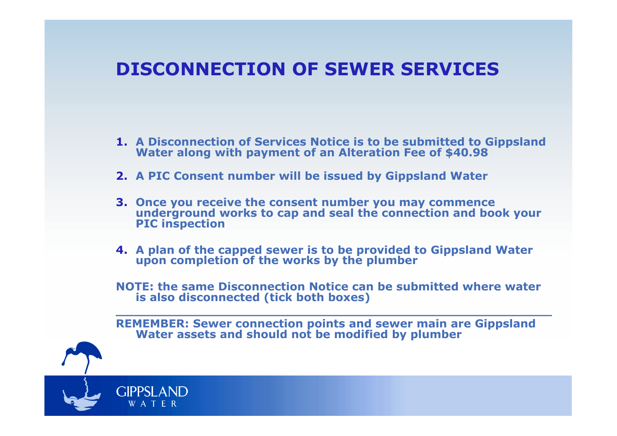#### **DISCONNECTION OF SEWER SERVICES**

- **1. A Disconnection of Services Notice is to be submitted to Gippsland Water along with payment of an Alteration Fee of \$40.98**
- **2. A PIC Consent number will be issued by Gippsland Water**
- **3. Once you receive the consent number you may commence** underground works to cap and seal the connection and book your<br>PIC inspection
- **4. A plan of the capped sewer is to be provided to Gippsland Water upon completion of the works by the plumber**
- **NOTE: the same Disconnection Notice can be submitted where wateris also disconnected (tick both boxes)**

**REMEMBER: Sewer connection points and sewer main are Gippsland Water assets and should not be modified by plumber**

**GIPPSI AND** W A T E R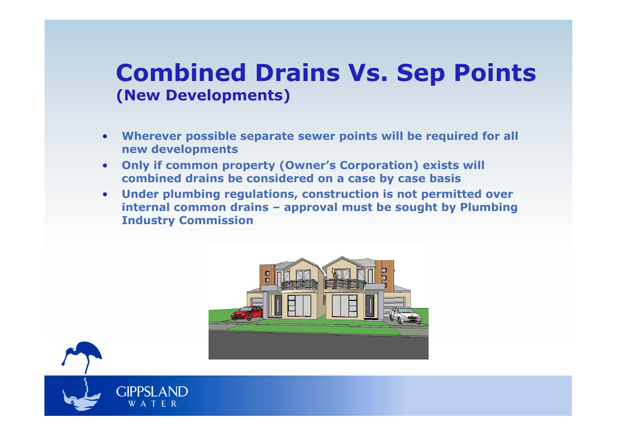## **Combined Drains Vs. Sep Points(New Developments)**

- • **Wherever possible separate sewer points will be required for all new developments**
- **Only if common property (Owner's Corporation) exists will**  •**combined drains be considered on a case by case basis**
- **Under plumbing regulations, construction is not permitted over**  •**internal common drains – approval must be sought by Plumbing Industry Commission**